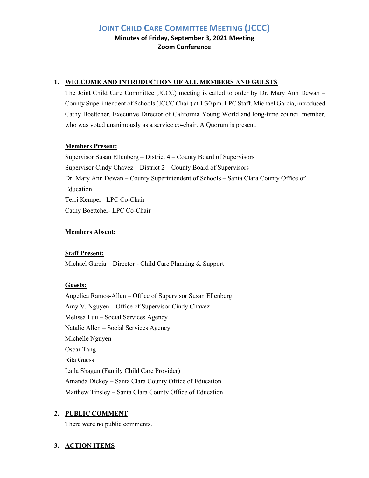**JOINT CHILD CARE COMMITTEE MEETING (JCCC)**

**Minutes of Friday, September 3, 2021 Meeting Zoom Conference**

## **1. WELCOME AND INTRODUCTION OF ALL MEMBERS AND GUESTS**

The Joint Child Care Committee (JCCC) meeting is called to order by Dr. Mary Ann Dewan – County Superintendent of Schools (JCCC Chair) at 1:30 pm. LPC Staff, Michael Garcia, introduced Cathy Boettcher, Executive Director of California Young World and long-time council member, who was voted unanimously as a service co-chair. A Quorum is present.

## **Members Present:**

Supervisor Susan Ellenberg – District 4 – County Board of Supervisors Supervisor Cindy Chavez – District 2 – County Board of Supervisors Dr. Mary Ann Dewan – County Superintendent of Schools – Santa Clara County Office of Education Terri Kemper– LPC Co-Chair Cathy Boettcher- LPC Co-Chair

## **Members Absent:**

## **Staff Present:**

Michael Garcia – Director - Child Care Planning & Support

## **Guests:**

Angelica Ramos-Allen – Office of Supervisor Susan Ellenberg Amy V. Nguyen – Office of Supervisor Cindy Chavez Melissa Luu – Social Services Agency Natalie Allen – Social Services Agency Michelle Nguyen Oscar Tang Rita Guess Laila Shagun (Family Child Care Provider) Amanda Dickey – Santa Clara County Office of Education Matthew Tinsley – Santa Clara County Office of Education

# **2. PUBLIC COMMENT**

There were no public comments.

# **3. ACTION ITEMS**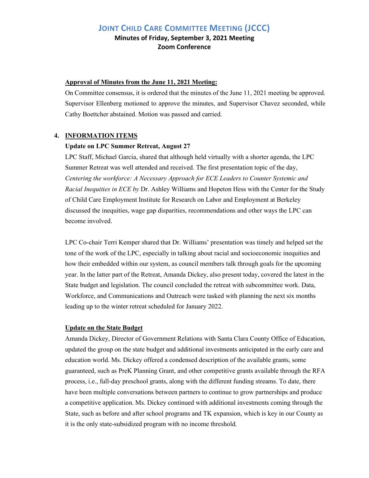# **JOINT CHILD CARE COMMITTEE MEETING (JCCC) Minutes of Friday, September 3, 2021 Meeting**

**Zoom Conference**

#### **Approval of Minutes from the June 11, 2021 Meeting:**

On Committee consensus, it is ordered that the minutes of the June 11, 2021 meeting be approved. Supervisor Ellenberg motioned to approve the minutes, and Supervisor Chavez seconded, while Cathy Boettcher abstained. Motion was passed and carried.

### **4. INFORMATION ITEMS**

### **Update on LPC Summer Retreat, August 27**

LPC Staff, Michael Garcia, shared that although held virtually with a shorter agenda, the LPC Summer Retreat was well attended and received. The first presentation topic of the day, *Centering the workforce: A Necessary Approach for ECE Leaders to Counter Systemic and Racial Inequities in ECE by* Dr. Ashley Williams and Hopeton Hess with the Center for the Study of Child Care Employment Institute for Research on Labor and Employment at Berkeley discussed the inequities, wage gap disparities, recommendations and other ways the LPC can become involved.

LPC Co-chair Terri Kemper shared that Dr. Williams' presentation was timely and helped set the tone of the work of the LPC, especially in talking about racial and socioeconomic inequities and how their embedded within our system, as council members talk through goals for the upcoming year. In the latter part of the Retreat, Amanda Dickey, also present today, covered the latest in the State budget and legislation. The council concluded the retreat with subcommittee work. Data, Workforce, and Communications and Outreach were tasked with planning the next six months leading up to the winter retreat scheduled for January 2022.

#### **Update on the State Budget**

Amanda Dickey, Director of Government Relations with Santa Clara County Office of Education, updated the group on the state budget and additional investments anticipated in the early care and education world. Ms. Dickey offered a condensed description of the available grants, some guaranteed, such as PreK Planning Grant, and other competitive grants available through the RFA process, i.e., full-day preschool grants, along with the different funding streams. To date, there have been multiple conversations between partners to continue to grow partnerships and produce a competitive application. Ms. Dickey continued with additional investments coming through the State, such as before and after school programs and TK expansion, which is key in our County as it is the only state-subsidized program with no income threshold.